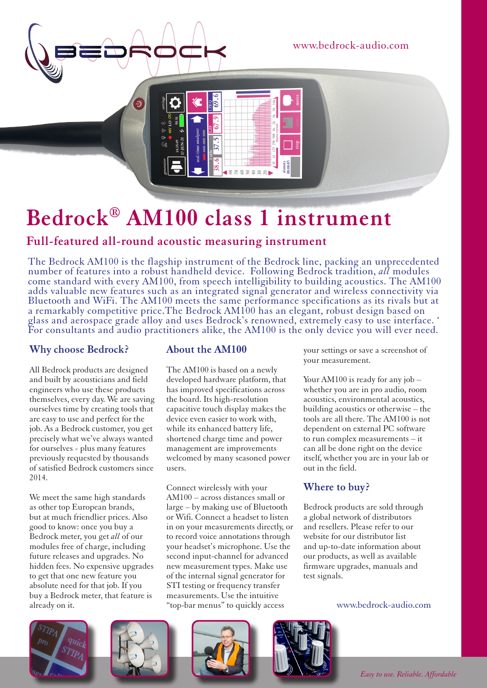



# **Bedrock® AM100 class 1 instrument**

## **Full-featured all-round acoustic measuring instrument**

The Bedrock AM100 is the flagship instrument of the Bedrock line, packing an unprecedented number of features into a robust handheld device. Following Bedrock tradition, *all* modules come standard with every AM100, from speech intelligibility to building acoustics. The AM100 adds valuable new features such as an integrated signal generator and wireless connectivity via Bluetooth and WiFi. The AM100 meets the same performance specifications as its rivals but at a remarkably competitive price.The Bedrock AM100 has an elegant, robust design based on glass and aerospace grade alloy and uses Bedrock's renowned, extremely easy to use interface. ' For consultants and audio practitioners alike, the AM100 is the only device you will ever need.

#### **Why choose Bedrock?**

All Bedrock products are designed and built by acousticians and field engineers who use these products themselves, every day. We are saving ourselves time by creating tools that are easy to use and perfect for the job. As a Bedrock customer, you get precisely what we've always wanted for ourselves - plus many features previously requested by thousands of satisfied Bedrock customers since 2014.

We meet the same high standards as other top European brands, but at much friendlier prices. Also good to know: once you buy a Bedrock meter, you get *all* of our modules free of charge, including future releases and upgrades. No hidden fees. No expensive upgrades to get that one new feature you absolute need for that job. If you buy a Bedrock meter, that feature is already on it.

#### **About the AM100**

The AM100 is based on a newly developed hardware platform, that has improved specifications across the board. Its high-resolution capacitive touch display makes the device even easier to work with, while its enhanced battery life, shortened charge time and power management are improvements welcomed by many seasoned power users.

Connect wirelessly with your AM100 – across distances small or large – by making use of Bluetooth or Wifi. Connect a headset to listen in on your measurements directly, or to record voice annotations through your headset's microphone. Use the second input-channel for advanced new measurement types. Make use of the internal signal generator for STI testing or frequency transfer measurements. Use the intuitive "top-bar menus" to quickly access

your settings or save a screenshot of your measurement.

Your AM100 is ready for any job whether you are in pro audio, room acoustics, environmental acoustics, building acoustics or otherwise – the tools are all there. The AM100 is not dependent on external PC software to run complex measurements – it can all be done right on the device itself, whether you are in your lab or out in the field.

#### **Where to buy?**

Bedrock products are sold through a global network of distributors and resellers. Please refer to our website for our distributor list and up-to-date information about our products, as well as available firmware upgrades, manuals and test signals.

www.bedrock-audio.com









*Easy to use. Reliable. Affordable*